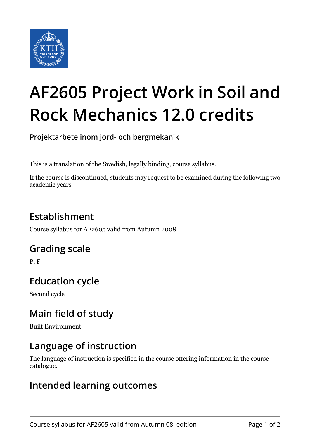

# **AF2605 Project Work in Soil and Rock Mechanics 12.0 credits**

**Projektarbete inom jord- och bergmekanik**

This is a translation of the Swedish, legally binding, course syllabus.

If the course is discontinued, students may request to be examined during the following two academic years

# **Establishment**

Course syllabus for AF2605 valid from Autumn 2008

## **Grading scale**

P, F

# **Education cycle**

Second cycle

## **Main field of study**

Built Environment

## **Language of instruction**

The language of instruction is specified in the course offering information in the course catalogue.

#### **Intended learning outcomes**